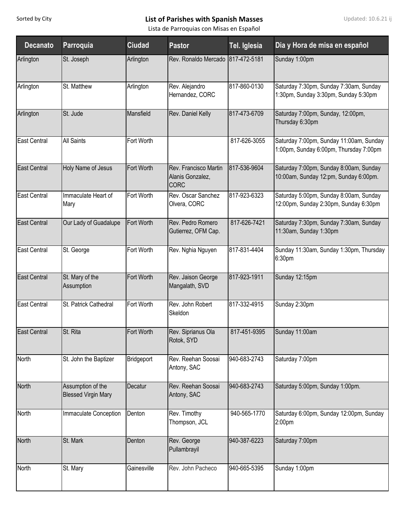## Sorted by City **List of Parishes with Spanish Masses**

Updated: 10.6.21 ij

Lista de Parroquias con Misas en Español

| <b>Decanato</b>     | Parroquia                                       | <b>Ciudad</b> | <b>Pastor</b>                                            | Tel. Iglesia | Dia y Hora de misa en español                                                     |
|---------------------|-------------------------------------------------|---------------|----------------------------------------------------------|--------------|-----------------------------------------------------------------------------------|
| Arlington           | St. Joseph                                      | Arlington     | Rev. Ronaldo Mercado 817-472-5181                        |              | Sunday 1:00pm                                                                     |
| Arlington           | St. Matthew                                     | Arlington     | Rev. Alejandro<br>Hernandez, CORC                        | 817-860-0130 | Saturday 7:30pm, Sunday 7:30am, Sunday<br>1:30pm, Sunday 3:30pm, Sunday 5:30pm    |
| Arlington           | St. Jude                                        | Mansfield     | Rev. Daniel Kelly                                        | 817-473-6709 | Saturday 7:00pm, Sunday, 12:00pm,<br>Thursday 6:30pm                              |
| <b>East Central</b> | <b>All Saints</b>                               | Fort Worth    |                                                          | 817-626-3055 | Saturday 7:00pm, Sunday 11:00am, Sunday<br>1:00pm, Sunday 6:00pm, Thursday 7:00pm |
| <b>East Central</b> | Holy Name of Jesus                              | Fort Worth    | Rev. Francisco Martin<br>Alanis Gonzalez,<br><b>CORC</b> | 817-536-9604 | Saturday 7:00pm, Sunday 8:00am, Sunday<br>10:00am, Sunday 12:pm, Sunday 6:00pm.   |
| <b>East Central</b> | Immaculate Heart of<br>Mary                     | Fort Worth    | Rev. Oscar Sanchez<br>Olvera, CORC                       | 817-923-6323 | Saturday 5:00pm, Sunday 8:00am, Sunday<br>12:00pm, Sunday 2:30pm, Sunday 6:30pm   |
| East Central        | Our Lady of Guadalupe                           | Fort Worth    | Rev. Pedro Romero<br>Gutierrez, OFM Cap.                 | 817-626-7421 | Saturday 7:30pm, Sunday 7:30am, Sunday<br>11:30am, Sunday 1:30pm                  |
| <b>East Central</b> | St. George                                      | Fort Worth    | Rev. Nghia Nguyen                                        | 817-831-4404 | Sunday 11:30am, Sunday 1:30pm, Thursday<br>6:30pm                                 |
| East Central        | St. Mary of the<br>Assumption                   | Fort Worth    | Rev. Jaison George<br>Mangalath, SVD                     | 817-923-1911 | Sunday 12:15pm                                                                    |
| <b>East Central</b> | St. Patrick Cathedral                           | Fort Worth    | Rev. John Robert<br>Skeldon                              | 817-332-4915 | Sunday 2:30pm                                                                     |
| East Central        | St. Rita                                        | Fort Worth    | Rev. Siprianus Ola<br>Rotok, SYD                         | 817-451-9395 | Sunday 11:00am                                                                    |
| North               | St. John the Baptizer                           | Bridgeport    | Rev. Reehan Soosai<br>Antony, SAC                        | 940-683-2743 | Saturday 7:00pm                                                                   |
| North               | Assumption of the<br><b>Blessed Virgin Mary</b> | Decatur       | Rev. Reehan Soosai<br>Antony, SAC                        | 940-683-2743 | Saturday 5:00pm, Sunday 1:00pm.                                                   |
| North               | Immaculate Conception                           | Denton        | Rev. Timothy<br>Thompson, JCL                            | 940-565-1770 | Saturday 6:00pm, Sunday 12:00pm, Sunday<br>2:00pm                                 |
| North               | St. Mark                                        | Denton        | Rev. George<br>Pullambrayil                              | 940-387-6223 | Saturday 7:00pm                                                                   |
| North               | St. Mary                                        | Gainesville   | Rev. John Pacheco                                        | 940-665-5395 | Sunday 1:00pm                                                                     |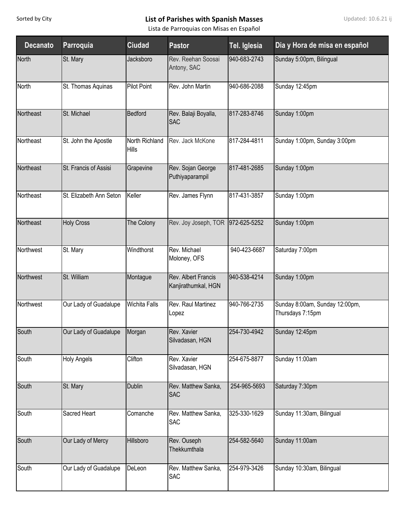## Sorted by City **List of Parishes with Spanish Masses**

Updated: 10.6.21 ij

Lista de Parroquias con Misas en Español

| <b>Decanato</b> | Parroquia                    | <b>Ciudad</b>           | <b>Pastor</b>                              | Tel. Iglesia | Dia y Hora de misa en español                      |
|-----------------|------------------------------|-------------------------|--------------------------------------------|--------------|----------------------------------------------------|
| North           | St. Mary                     | Jacksboro               | Rev. Reehan Soosai<br>Antony, SAC          | 940-683-2743 | Sunday 5:00pm, Bilingual                           |
| North           | St. Thomas Aquinas           | <b>Pilot Point</b>      | Rev. John Martin                           | 940-686-2088 | Sunday 12:45pm                                     |
| Northeast       | St. Michael                  | <b>Bedford</b>          | Rev. Balaji Boyalla,<br><b>SAC</b>         | 817-283-8746 | Sunday 1:00pm                                      |
| Northeast       | St. John the Apostle         | North Richland<br>Hills | Rev. Jack McKone                           | 817-284-4811 | Sunday 1:00pm, Sunday 3:00pm                       |
| Northeast       | St. Francis of Assisi        | Grapevine               | Rev. Sojan George<br>Puthiyaparampil       | 817-481-2685 | Sunday 1:00pm                                      |
| Northeast       | St. Elizabeth Ann Seton      | Keller                  | Rev. James Flynn                           | 817-431-3857 | Sunday 1:00pm                                      |
| Northeast       | <b>Holy Cross</b>            | The Colony              | Rev. Joy Joseph, TOR                       | 972-625-5252 | Sunday 1:00pm                                      |
| Northwest       | St. Mary                     | Windthorst              | Rev. Michael<br>Moloney, OFS               | 940-423-6687 | Saturday 7:00pm                                    |
| Northwest       | St. William                  | Montague                | Rev. Albert Francis<br>Kanjirathumkal, HGN | 940-538-4214 | Sunday 1:00pm                                      |
| Northwest       | Our Lady of Guadalupe        | <b>Wichita Falls</b>    | Rev. Raul Martinez<br>Lopez                | 940-766-2735 | Sunday 8:00am, Sunday 12:00pm,<br>Thursdays 7:15pm |
| South           | Our Lady of Guadalupe Morgan |                         | Rev. Xavier<br>Silvadasan, HGN             | 254-730-4942 | Sunday 12:45pm                                     |
| South           | <b>Holy Angels</b>           | Clifton                 | Rev. Xavier<br>Silvadasan, HGN             | 254-675-8877 | Sunday 11:00am                                     |
| South           | St. Mary                     | <b>Dublin</b>           | Rev. Matthew Sanka,<br><b>SAC</b>          | 254-965-5693 | Saturday 7:30pm                                    |
| South           | Sacred Heart                 | Comanche                | Rev. Matthew Sanka,<br><b>SAC</b>          | 325-330-1629 | Sunday 11:30am, Bilingual                          |
| South           | Our Lady of Mercy            | Hillsboro               | Rev. Ouseph<br>Thekkumthala                | 254-582-5640 | Sunday 11:00am                                     |
| South           | Our Lady of Guadalupe        | DeLeon                  | Rev. Matthew Sanka,<br><b>SAC</b>          | 254-979-3426 | Sunday 10:30am, Bilingual                          |